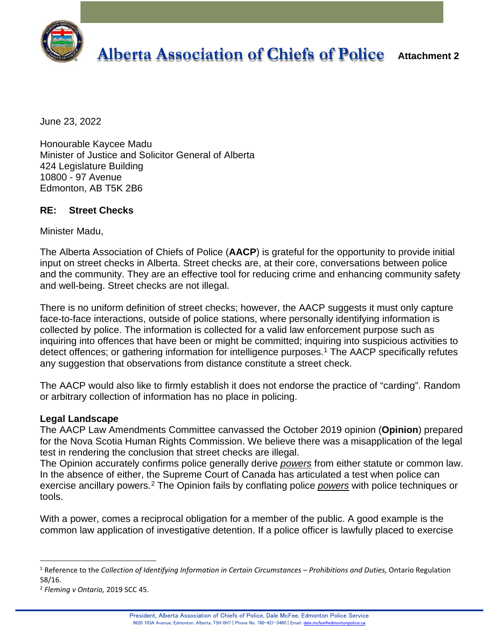

# **Alberta Association of Chiefs of Police Attachment 2**

June 23, 2022

Honourable Kaycee Madu Minister of Justice and Solicitor General of Alberta 424 Legislature Building 10800 - 97 Avenue Edmonton, AB T5K 2B6

### **RE: Street Checks**

Minister Madu,

The Alberta Association of Chiefs of Police (**AACP**) is grateful for the opportunity to provide initial input on street checks in Alberta. Street checks are, at their core, conversations between police and the community. They are an effective tool for reducing crime and enhancing community safety and well-being. Street checks are not illegal.

There is no uniform definition of street checks; however, the AACP suggests it must only capture face-to-face interactions, outside of police stations, where personally identifying information is collected by police. The information is collected for a valid law enforcement purpose such as inquiring into offences that have been or might be committed; inquiring into suspicious activities to detect offences; or gathering information for intelligence purposes.<sup>[1](#page-0-0)</sup> The AACP specifically refutes any suggestion that observations from distance constitute a street check.

The AACP would also like to firmly establish it does not endorse the practice of "carding". Random or arbitrary collection of information has no place in policing.

#### **Legal Landscape**

The AACP Law Amendments Committee canvassed the October 2019 opinion (**Opinion**) prepared for the Nova Scotia Human Rights Commission. We believe there was a misapplication of the legal test in rendering the conclusion that street checks are illegal.

The Opinion accurately confirms police generally derive *powers* from either statute or common law. In the absence of either, the Supreme Court of Canada has articulated a test when police can exercise ancillary powers.[2](#page-0-1) The Opinion fails by conflating police *powers* with police techniques or tools.

With a power, comes a reciprocal obligation for a member of the public. A good example is the common law application of investigative detention. If a police officer is lawfully placed to exercise

<span id="page-0-0"></span><sup>1</sup> Reference to the *Collection of Identifying Information in Certain Circumstances – Prohibitions and Duties,* Ontario Regulation 58/16.

<span id="page-0-1"></span><sup>2</sup> *Fleming v Ontario,* 2019 SCC 45.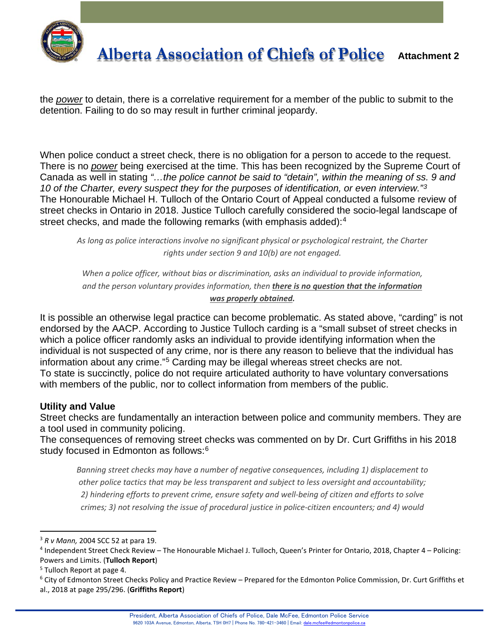

the *power* to detain, there is a correlative requirement for a member of the public to submit to the detention. Failing to do so may result in further criminal jeopardy.

When police conduct a street check, there is no obligation for a person to accede to the request. There is no *power* being exercised at the time. This has been recognized by the Supreme Court of Canada as well in stating *"…the police cannot be said to "detain", within the meaning of ss. 9 and 10 of the Charter, every suspect they for the purposes of identification, or even interview."[3](#page-1-0)* The Honourable Michael H. Tulloch of the Ontario Court of Appeal conducted a fulsome review of street checks in Ontario in 2018. Justice Tulloch carefully considered the socio-legal landscape of street checks, and made the following remarks (with emphasis added):<sup>[4](#page-1-1)</sup>

*As long as police interactions involve no significant physical or psychological restraint, the Charter rights under section 9 and 10(b) are not engaged.*

*When a police officer, without bias or discrimination, asks an individual to provide information, and the person voluntary provides information, then there is no question that the information was properly obtained.*

It is possible an otherwise legal practice can become problematic. As stated above, "carding" is not endorsed by the AACP. According to Justice Tulloch carding is a "small subset of street checks in which a police officer randomly asks an individual to provide identifying information when the individual is not suspected of any crime, nor is there any reason to believe that the individual has information about any crime."[5](#page-1-2) Carding may be illegal whereas street checks are not. To state is succinctly, police do not require articulated authority to have voluntary conversations with members of the public, nor to collect information from members of the public.

#### **Utility and Value**

Street checks are fundamentally an interaction between police and community members. They are a tool used in community policing.

The consequences of removing street checks was commented on by Dr. Curt Griffiths in his 2018 study focused in Edmonton as follows:<sup>[6](#page-1-3)</sup>

*Banning street checks may have a number of negative consequences, including 1) displacement to other police tactics that may be less transparent and subject to less oversight and accountability; 2) hindering efforts to prevent crime, ensure safety and well-being of citizen and efforts to solve crimes; 3) not resolving the issue of procedural justice in police-citizen encounters; and 4) would* 

<span id="page-1-0"></span><sup>3</sup> *R v Mann,* 2004 SCC 52 at para 19.

<span id="page-1-1"></span><sup>4</sup> Independent Street Check Review – The Honourable Michael J. Tulloch, Queen's Printer for Ontario, 2018, Chapter 4 – Policing: Powers and Limits. (**Tulloch Report**)

<span id="page-1-2"></span><sup>5</sup> Tulloch Report at page 4.

<span id="page-1-3"></span><sup>6</sup> City of Edmonton Street Checks Policy and Practice Review – Prepared for the Edmonton Police Commission, Dr. Curt Griffiths et al., 2018 at page 295/296. (**Griffiths Report**)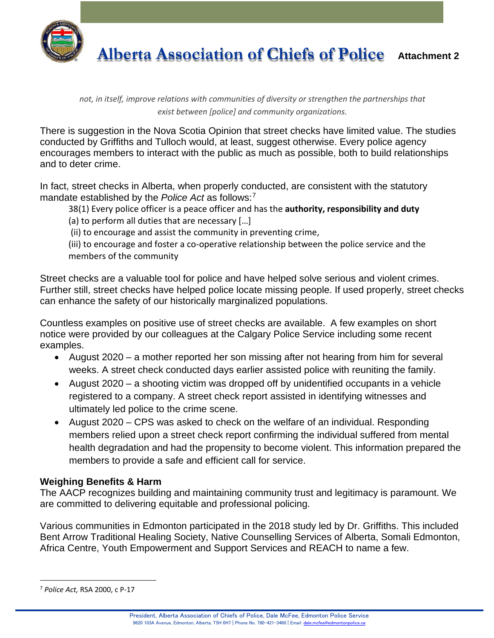

**Alberta Association of Chiefs of Police Attachment 2**

*not, in itself, improve relations with communities of diversity or strengthen the partnerships that exist between [police] and community organizations.*

There is suggestion in the Nova Scotia Opinion that street checks have limited value. The studies conducted by Griffiths and Tulloch would, at least, suggest otherwise. Every police agency encourages members to interact with the public as much as possible, both to build relationships and to deter crime.

In fact, street checks in Alberta, when properly conducted, are consistent with the statutory mandate established by the *Police Act* as follows:[7](#page-2-0)

38(1) Every police officer is a peace officer and has the **authority, responsibility and duty**

(a) to perform all duties that are necessary […]

(ii) to encourage and assist the community in preventing crime,

(iii) to encourage and foster a co-operative relationship between the police service and the members of the community

Street checks are a valuable tool for police and have helped solve serious and violent crimes. Further still, street checks have helped police locate missing people. If used properly, street checks can enhance the safety of our historically marginalized populations.

Countless examples on positive use of street checks are available. A few examples on short notice were provided by our colleagues at the Calgary Police Service including some recent examples.

- August 2020 a mother reported her son missing after not hearing from him for several weeks. A street check conducted days earlier assisted police with reuniting the family.
- August 2020 a shooting victim was dropped off by unidentified occupants in a vehicle registered to a company. A street check report assisted in identifying witnesses and ultimately led police to the crime scene.
- August 2020 CPS was asked to check on the welfare of an individual. Responding members relied upon a street check report confirming the individual suffered from mental health degradation and had the propensity to become violent. This information prepared the members to provide a safe and efficient call for service.

## **Weighing Benefits & Harm**

The AACP recognizes building and maintaining community trust and legitimacy is paramount. We are committed to delivering equitable and professional policing.

Various communities in Edmonton participated in the 2018 study led by Dr. Griffiths. This included Bent Arrow Traditional Healing Society, Native Counselling Services of Alberta, Somali Edmonton, Africa Centre, Youth Empowerment and Support Services and REACH to name a few.

<span id="page-2-0"></span><sup>7</sup> *Police Act,* RSA 2000, c P-17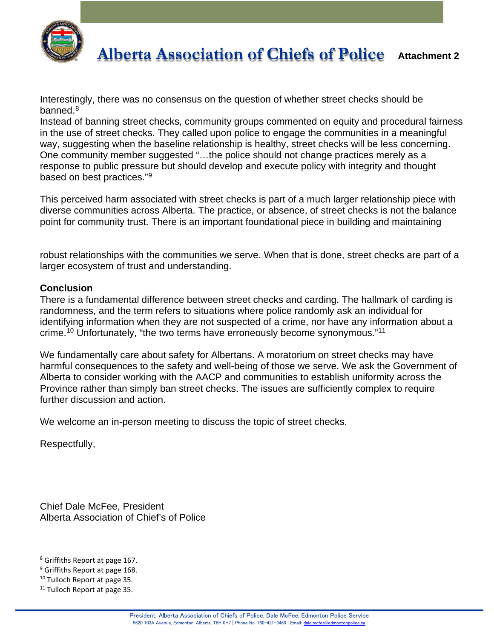

Interestingly, there was no consensus on the question of whether street checks should be banned.<sup>8</sup>

Instead of banning street checks, community groups commented on equity and procedural fairness in the use of street checks. They called upon police to engage the communities in a meaningful way, suggesting when the baseline relationship is healthy, street checks will be less concerning. One community member suggested "…the police should not change practices merely as a response to public pressure but should develop and execute policy with integrity and thought based on best practices."[9](#page-3-1)

This perceived harm associated with street checks is part of a much larger relationship piece with diverse communities across Alberta. The practice, or absence, of street checks is not the balance point for community trust. There is an important foundational piece in building and maintaining

robust relationships with the communities we serve. When that is done, street checks are part of a larger ecosystem of trust and understanding.

#### **Conclusion**

There is a fundamental difference between street checks and carding. The hallmark of carding is randomness, and the term refers to situations where police randomly ask an individual for identifying information when they are not suspected of a crime, nor have any information about a crime.[10](#page-3-2) Unfortunately, "the two terms have erroneously become synonymous."[11](#page-3-3)

We fundamentally care about safety for Albertans. A moratorium on street checks may have harmful consequences to the safety and well-being of those we serve. We ask the Government of Alberta to consider working with the AACP and communities to establish uniformity across the Province rather than simply ban street checks. The issues are sufficiently complex to require further discussion and action.

We welcome an in-person meeting to discuss the topic of street checks.

Respectfully,

Chief Dale McFee, President Alberta Association of Chief's of Police

<span id="page-3-0"></span><sup>8</sup> Griffiths Report at page 167.

<span id="page-3-1"></span><sup>&</sup>lt;sup>9</sup> Griffiths Report at page 168.

<span id="page-3-2"></span><sup>&</sup>lt;sup>10</sup> Tulloch Report at page 35.

<span id="page-3-3"></span><sup>&</sup>lt;sup>11</sup> Tulloch Report at page 35.